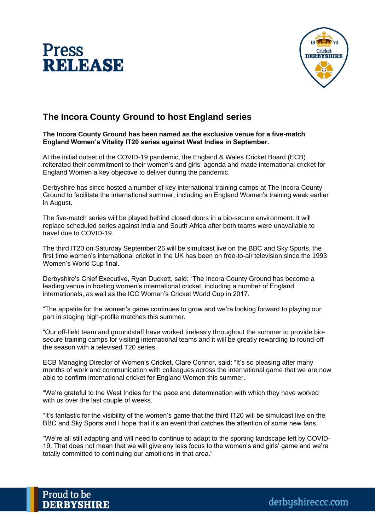



## **The Incora County Ground to host England series**

## **The Incora County Ground has been named as the exclusive venue for a five-match England Women's Vitality IT20 series against West Indies in September.**

At the initial outset of the COVID-19 pandemic, the England & Wales Cricket Board (ECB) reiterated their commitment to their women's and girls' agenda and made international cricket for England Women a key objective to deliver during the pandemic.

Derbyshire has since hosted a number of key international training camps at The Incora County Ground to facilitate the international summer, including an England Women's training week earlier in August.

The five-match series will be played behind closed doors in a bio-secure environment. It will replace scheduled series against India and South Africa after both teams were unavailable to travel due to COVID-19.

The third IT20 on Saturday September 26 will be simulcast live on the BBC and Sky Sports, the first time women's international cricket in the UK has been on free-to-air television since the 1993 Women's World Cup final.

Derbyshire's Chief Executive, Ryan Duckett, said: "The Incora County Ground has become a leading venue in hosting women's international cricket, including a number of England internationals, as well as the ICC Women's Cricket World Cup in 2017.

"The appetite for the women's game continues to grow and we're looking forward to playing our part in staging high-profile matches this summer.

"Our off-field team and groundstaff have worked tirelessly throughout the summer to provide biosecure training camps for visiting international teams and it will be greatly rewarding to round-off the season with a televised T20 series.

ECB Managing Director of Women's Cricket, Clare Connor, said: "It's so pleasing after many months of work and communication with colleagues across the international game that we are now able to confirm international cricket for England Women this summer.

"We're grateful to the West Indies for the pace and determination with which they have worked with us over the last couple of weeks.

"It's fantastic for the visibility of the women's game that the third IT20 will be simulcast live on the BBC and Sky Sports and I hope that it's an event that catches the attention of some new fans.

"We're all still adapting and will need to continue to adapt to the sporting landscape left by COVID-19. That does not mean that we will give any less focus to the women's and girls' game and we're totally committed to continuing our ambitions in that area."